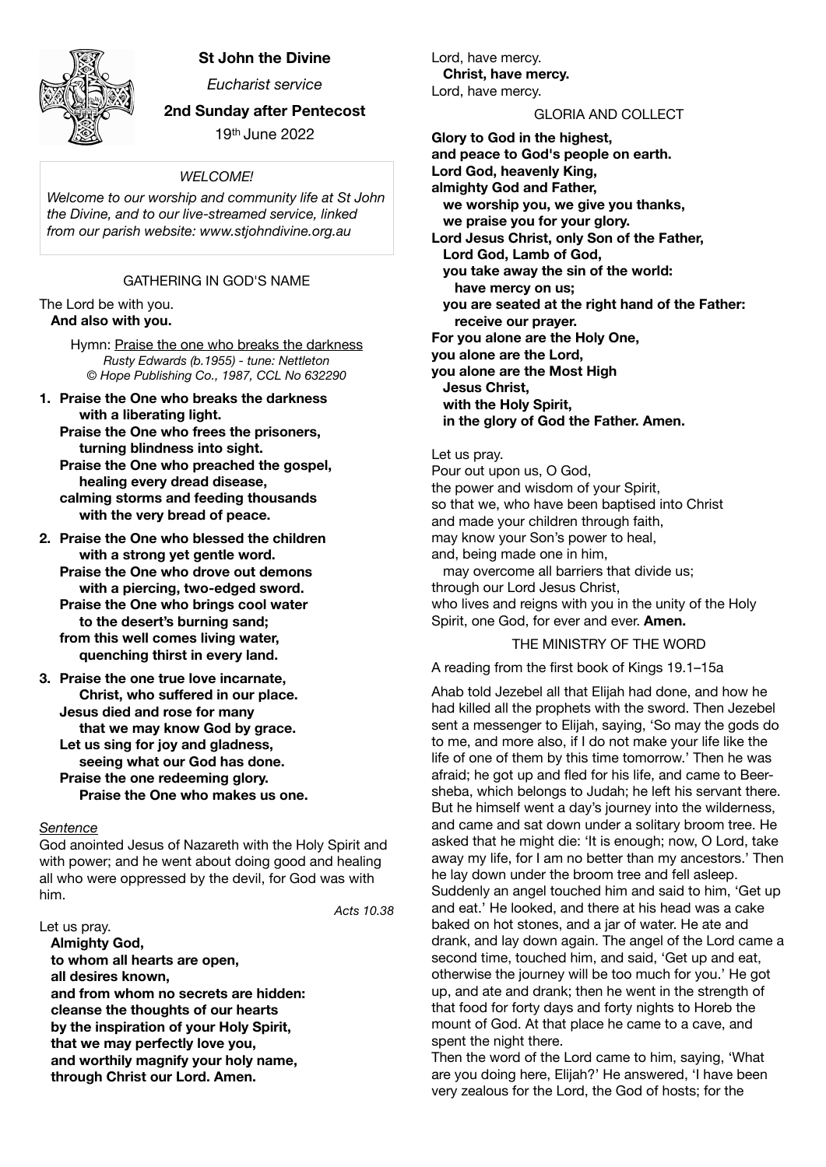

# **St John the Divine**

*Eucharist service* 

**2nd Sunday after Pentecost** 

19th June 2022

## *WELCOME!*

*Welcome to our worship and community life at St John the Divine, and to our live-streamed service, linked from our parish website: www.stjohndivine.org.au* 

## GATHERING IN GOD'S NAME

The Lord be with you. **And also with you.**

- Hymn: Praise the one who breaks the darkness *Rusty Edwards (b.1955) - tune: Nettleton © Hope Publishing Co., 1987, CCL No 632290*
- **1. Praise the One who breaks the darkness with a liberating light.**
	- **Praise the One who frees the prisoners, turning blindness into sight.**
	- **Praise the One who preached the gospel, healing every dread disease, calming storms and feeding thousands with the very bread of peace.**
- **2. Praise the One who blessed the children with a strong yet gentle word. Praise the One who drove out demons with a piercing, two-edged sword. Praise the One who brings cool water to the desert's burning sand; from this well comes living water, quenching thirst in every land.**
- **3. Praise the one true love incarnate, Christ, who suffered in our place. Jesus died and rose for many that we may know God by grace. Let us sing for joy and gladness, seeing what our God has done. Praise the one redeeming glory. Praise the One who makes us one.**

#### *Sentence*

God anointed Jesus of Nazareth with the Holy Spirit and with power; and he went about doing good and healing all who were oppressed by the devil, for God was with him.

*Acts 10.38*  Let us pray.  **Almighty God, to whom all hearts are open, all desires known, and from whom no secrets are hidden: cleanse the thoughts of our hearts by the inspiration of your Holy Spirit, that we may perfectly love you, and worthily magnify your holy name, through Christ our Lord. Amen.**

Lord, have mercy. **Christ, have mercy.** Lord, have mercy.

#### GLORIA AND COLLECT

**Glory to God in the highest, and peace to God's people on earth. Lord God, heavenly King, almighty God and Father, we worship you, we give you thanks, we praise you for your glory. Lord Jesus Christ, only Son of the Father, Lord God, Lamb of God, you take away the sin of the world: have mercy on us; you are seated at the right hand of the Father: receive our prayer. For you alone are the Holy One, you alone are the Lord, you alone are the Most High Jesus Christ, with the Holy Spirit, in the glory of God the Father. Amen.** 

Let us pray.

Pour out upon us, O God, the power and wisdom of your Spirit, so that we, who have been baptised into Christ and made your children through faith, may know your Son's power to heal, and, being made one in him, may overcome all barriers that divide us; through our Lord Jesus Christ, who lives and reigns with you in the unity of the Holy Spirit, one God, for ever and ever. **Amen.**

## THE MINISTRY OF THE WORD

A reading from the first book of Kings 19.1–15a

Ahab told Jezebel all that Elijah had done, and how he had killed all the prophets with the sword. Then Jezebel sent a messenger to Elijah, saying, 'So may the gods do to me, and more also, if I do not make your life like the life of one of them by this time tomorrow.' Then he was afraid; he got up and fled for his life, and came to Beersheba, which belongs to Judah; he left his servant there. But he himself went a day's journey into the wilderness, and came and sat down under a solitary broom tree. He asked that he might die: 'It is enough; now, O Lord, take away my life, for I am no better than my ancestors.' Then he lay down under the broom tree and fell asleep. Suddenly an angel touched him and said to him, 'Get up and eat.' He looked, and there at his head was a cake baked on hot stones, and a jar of water. He ate and drank, and lay down again. The angel of the Lord came a second time, touched him, and said, 'Get up and eat, otherwise the journey will be too much for you.' He got up, and ate and drank; then he went in the strength of that food for forty days and forty nights to Horeb the mount of God. At that place he came to a cave, and spent the night there.

Then the word of the Lord came to him, saying, 'What are you doing here, Elijah?' He answered, 'I have been very zealous for the Lord, the God of hosts; for the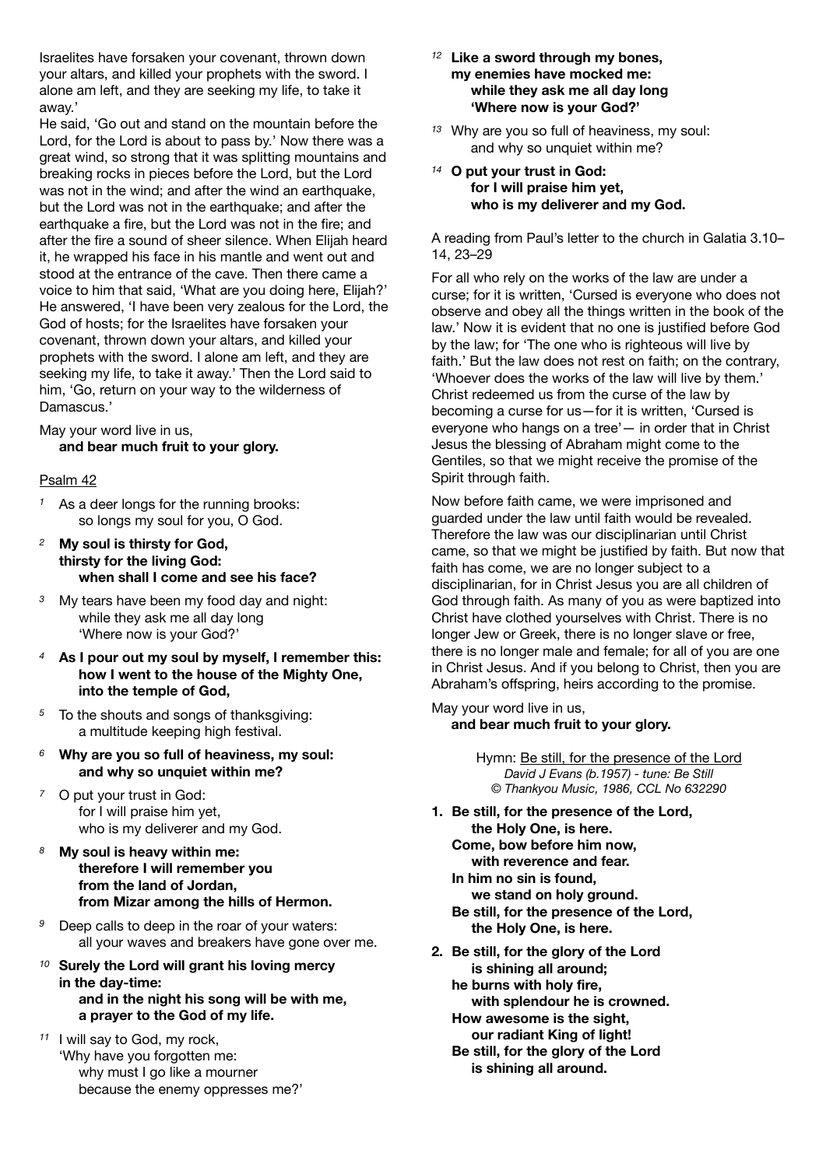Israelites have forsaken your covenant, thrown down your altars, and killed your prophets with the sword. I alone am left, and they are seeking my life, to take it away.'

He said, 'Go out and stand on the mountain before the Lord, for the Lord is about to pass by.' Now there was a great wind, so strong that it was splitting mountains and breaking rocks in pieces before the Lord, but the Lord was not in the wind; and after the wind an earthquake, but the Lord was not in the earthquake; and after the earthquake a fire, but the Lord was not in the fire; and after the fire a sound of sheer silence. When Elijah heard it, he wrapped his face in his mantle and went out and stood at the entrance of the cave. Then there came a voice to him that said, 'What are you doing here, Elijah?' He answered, 'I have been very zealous for the Lord, the God of hosts; for the Israelites have forsaken your covenant, thrown down your altars, and killed your prophets with the sword. I alone am left, and they are seeking my life, to take it away.' Then the Lord said to him, 'Go, return on your way to the wilderness of Damascus<sup>'</sup>

May your word live in us, **and bear much fruit to your glory.** 

### Psalm 42

- *<sup>1</sup>* As a deer longs for the running brooks: so longs my soul for you, O God.
- *<sup>2</sup>* **My soul is thirsty for God, thirsty for the living God: when shall I come and see his face?**
- *<sup>3</sup>* My tears have been my food day and night: while they ask me all day long 'Where now is your God?'
- *<sup>4</sup>* **As I pour out my soul by myself, I remember this: how I went to the house of the Mighty One, into the temple of God,**
- *<sup>5</sup>* To the shouts and songs of thanksgiving: a multitude keeping high festival.
- *<sup>6</sup>* **Why are you so full of heaviness, my soul: and why so unquiet within me?**
- *<sup>7</sup>* O put your trust in God: for I will praise him yet, who is my deliverer and my God.
- *<sup>8</sup>* **My soul is heavy within me: therefore I will remember you from the land of Jordan, from Mizar among the hills of Hermon.**
- *<sup>9</sup>* Deep calls to deep in the roar of your waters: all your waves and breakers have gone over me.
- *<sup>10</sup>* **Surely the Lord will grant his loving mercy in the day-time: and in the night his song will be with me, a prayer to the God of my life.**
- *<sup>11</sup>* I will say to God, my rock, 'Why have you forgotten me: why must I go like a mourner because the enemy oppresses me?'
- *<sup>12</sup>* **Like a sword through my bones, my enemies have mocked me: while they ask me all day long 'Where now is your God?'**
- *<sup>13</sup>* Why are you so full of heaviness, my soul: and why so unquiet within me?
- *<sup>14</sup>* **O put your trust in God: for I will praise him yet, who is my deliverer and my God.**

A reading from Paul's letter to the church in Galatia 3.10– 14, 23–29

For all who rely on the works of the law are under a curse; for it is written, 'Cursed is everyone who does not observe and obey all the things written in the book of the law.' Now it is evident that no one is justified before God by the law; for 'The one who is righteous will live by faith.' But the law does not rest on faith; on the contrary, 'Whoever does the works of the law will live by them.' Christ redeemed us from the curse of the law by becoming a curse for us—for it is written, 'Cursed is everyone who hangs on a tree'— in order that in Christ Jesus the blessing of Abraham might come to the Gentiles, so that we might receive the promise of the Spirit through faith.

Now before faith came, we were imprisoned and guarded under the law until faith would be revealed. Therefore the law was our disciplinarian until Christ came, so that we might be justified by faith. But now that faith has come, we are no longer subject to a disciplinarian, for in Christ Jesus you are all children of God through faith. As many of you as were baptized into Christ have clothed yourselves with Christ. There is no longer Jew or Greek, there is no longer slave or free, there is no longer male and female; for all of you are one in Christ Jesus. And if you belong to Christ, then you are Abraham's offspring, heirs according to the promise.

May your word live in us, **and bear much fruit to your glory.** 

> Hymn: Be still, for the presence of the Lord *David J Evans (b.1957) - tune: Be Still © Thankyou Music, 1986, CCL No 632290*

**1. Be still, for the presence of the Lord, the Holy One, is here. Come, bow before him now,** 

**with reverence and fear.**

- **In him no sin is found, we stand on holy ground. Be still, for the presence of the Lord,** 
	- **the Holy One, is here.**
- **2. Be still, for the glory of the Lord is shining all around; he burns with holy fire, with splendour he is crowned.**
	- **How awesome is the sight, our radiant King of light!**
	- **Be still, for the glory of the Lord is shining all around.**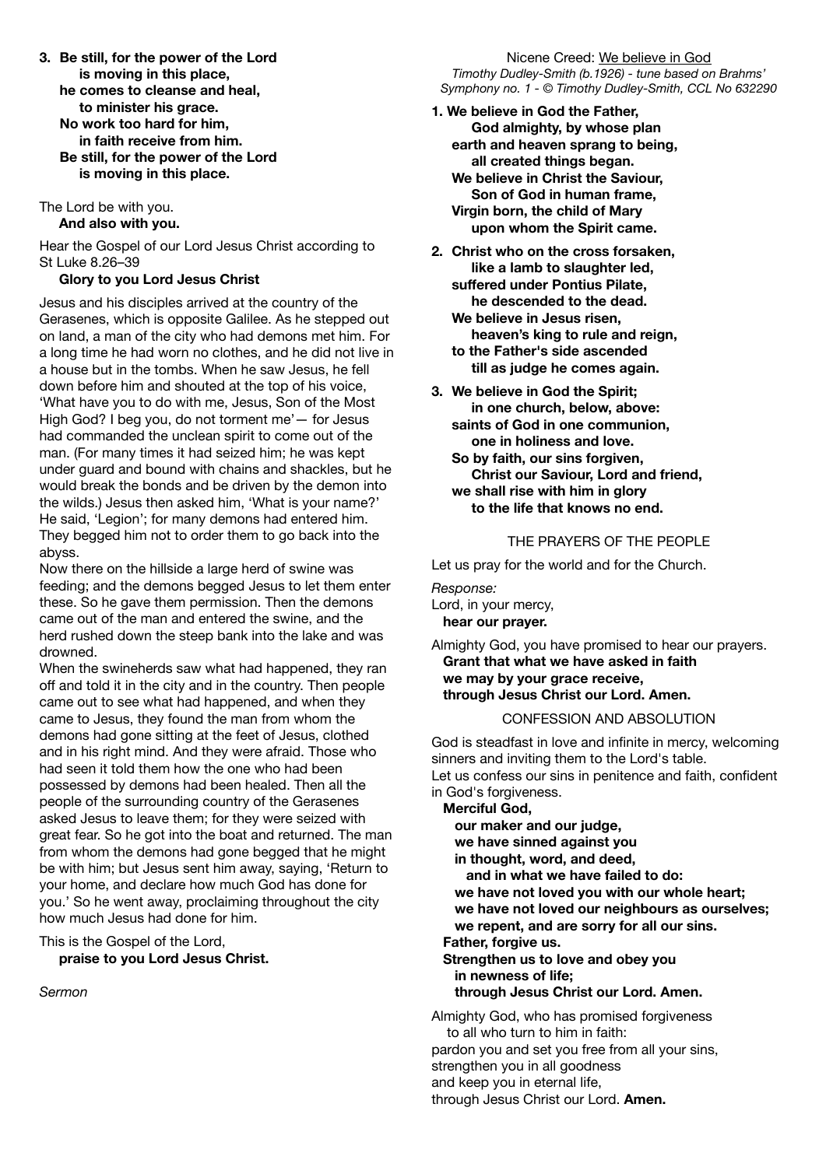**3. Be still, for the power of the Lord is moving in this place, he comes to cleanse and heal, to minister his grace. No work too hard for him, in faith receive from him. Be still, for the power of the Lord is moving in this place.** 

The Lord be with you.

**And also with you.** 

Hear the Gospel of our Lord Jesus Christ according to St Luke 8.26–39

#### **Glory to you Lord Jesus Christ**

Jesus and his disciples arrived at the country of the Gerasenes, which is opposite Galilee. As he stepped out on land, a man of the city who had demons met him. For a long time he had worn no clothes, and he did not live in a house but in the tombs. When he saw Jesus, he fell down before him and shouted at the top of his voice, 'What have you to do with me, Jesus, Son of the Most High God? I beg you, do not torment me'— for Jesus had commanded the unclean spirit to come out of the man. (For many times it had seized him; he was kept under guard and bound with chains and shackles, but he would break the bonds and be driven by the demon into the wilds.) Jesus then asked him, 'What is your name?' He said, 'Legion'; for many demons had entered him. They begged him not to order them to go back into the abyss.

Now there on the hillside a large herd of swine was feeding; and the demons begged Jesus to let them enter these. So he gave them permission. Then the demons came out of the man and entered the swine, and the herd rushed down the steep bank into the lake and was drowned.

When the swineherds saw what had happened, they ran off and told it in the city and in the country. Then people came out to see what had happened, and when they came to Jesus, they found the man from whom the demons had gone sitting at the feet of Jesus, clothed and in his right mind. And they were afraid. Those who had seen it told them how the one who had been possessed by demons had been healed. Then all the people of the surrounding country of the Gerasenes asked Jesus to leave them; for they were seized with great fear. So he got into the boat and returned. The man from whom the demons had gone begged that he might be with him; but Jesus sent him away, saying, 'Return to your home, and declare how much God has done for you.' So he went away, proclaiming throughout the city how much Jesus had done for him.

#### This is the Gospel of the Lord, **praise to you Lord Jesus Christ.**

*Sermon* 

Nicene Creed: We believe in God *Timothy Dudley-Smith (b.1926) - tune based on Brahms' Symphony no. 1 - © Timothy Dudley-Smith, CCL No 632290* 

- **1. We believe in God the Father, God almighty, by whose plan earth and heaven sprang to being, all created things began. We believe in Christ the Saviour, Son of God in human frame, Virgin born, the child of Mary upon whom the Spirit came.**
- **2. Christ who on the cross forsaken, like a lamb to slaughter led, suffered under Pontius Pilate,**
	- **he descended to the dead. We believe in Jesus risen, heaven's king to rule and reign,**
	- **to the Father's side ascended till as judge he comes again.**
- **3. We believe in God the Spirit; in one church, below, above: saints of God in one communion, one in holiness and love.**
	- **So by faith, our sins forgiven, Christ our Saviour, Lord and friend, we shall rise with him in glory to the life that knows no end.**

## THE PRAYERS OF THE PEOPLE

Let us pray for the world and for the Church.

*Response:*  Lord, in your mercy,

 **hear our prayer.** 

Almighty God, you have promised to hear our prayers.  **Grant that what we have asked in faith we may by your grace receive, through Jesus Christ our Lord. Amen.** 

## CONFESSION AND ABSOLUTION

God is steadfast in love and infinite in mercy, welcoming sinners and inviting them to the Lord's table. Let us confess our sins in penitence and faith, confident in God's forgiveness.

## **Merciful God,**

**our maker and our judge,**

**we have sinned against you**

**in thought, word, and deed,**

 **and in what we have failed to do: we have not loved you with our whole heart; we have not loved our neighbours as ourselves; we repent, and are sorry for all our sins.**

## **Father, forgive us.**

 **Strengthen us to love and obey you in newness of life; through Jesus Christ our Lord. Amen.**

Almighty God, who has promised forgiveness to all who turn to him in faith: pardon you and set you free from all your sins, strengthen you in all goodness and keep you in eternal life, through Jesus Christ our Lord. **Amen.**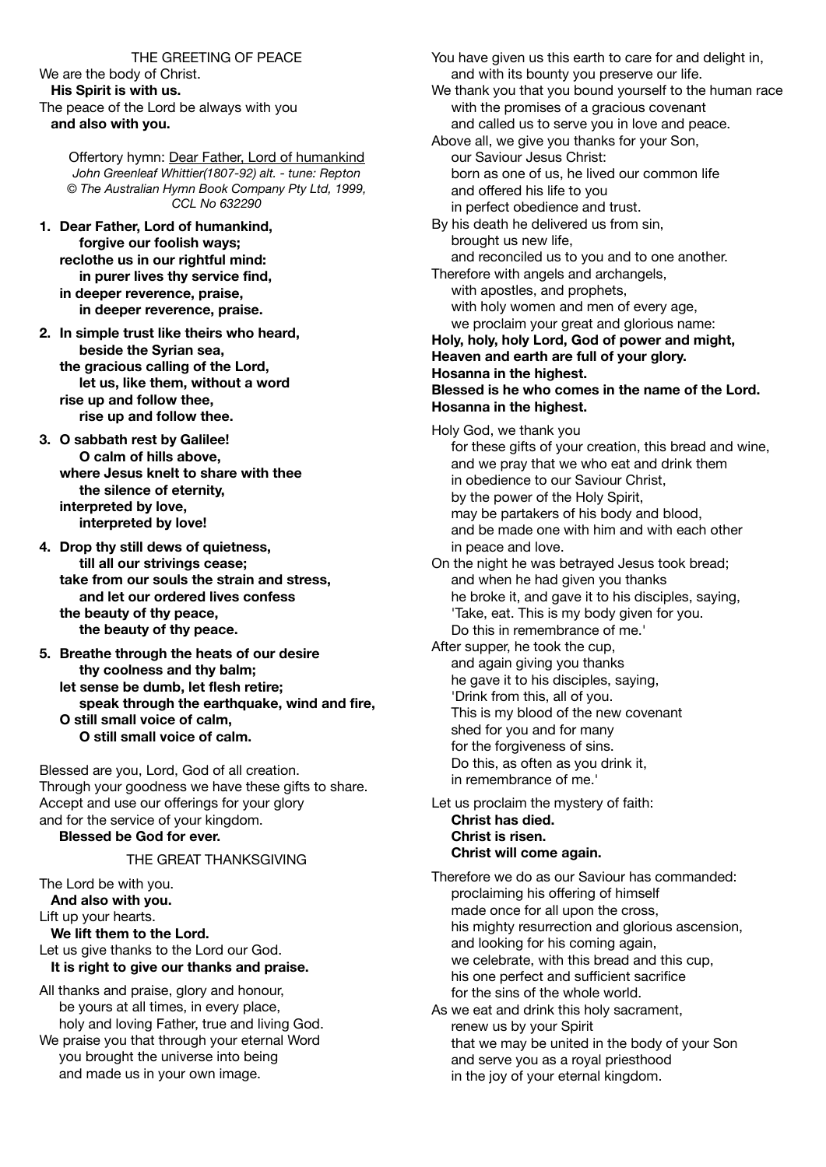### THE GREETING OF PEACE We are the body of Christ.  **His Spirit is with us.**  The peace of the Lord be always with you  **and also with you.**

Offertory hymn: Dear Father, Lord of humankind *John Greenleaf Whittier(1807-92) alt. - tune: Repton © The Australian Hymn Book Company Pty Ltd, 1999, CCL No 632290* 

- **1. Dear Father, Lord of humankind, forgive our foolish ways; reclothe us in our rightful mind: in purer lives thy service find, in deeper reverence, praise, in deeper reverence, praise.**
- **2. In simple trust like theirs who heard, beside the Syrian sea, the gracious calling of the Lord, let us, like them, without a word rise up and follow thee, rise up and follow thee.**
- **3. O sabbath rest by Galilee! O calm of hills above, where Jesus knelt to share with thee the silence of eternity, interpreted by love, interpreted by love!**
- **4. Drop thy still dews of quietness, till all our strivings cease; take from our souls the strain and stress, and let our ordered lives confess the beauty of thy peace, the beauty of thy peace.**
- **5. Breathe through the heats of our desire thy coolness and thy balm; let sense be dumb, let flesh retire; speak through the earthquake, wind and fire, O still small voice of calm, O still small voice of calm.**

Blessed are you, Lord, God of all creation. Through your goodness we have these gifts to share. Accept and use our offerings for your glory and for the service of your kingdom. **Blessed be God for ever.**

#### THE GREAT THANKSGIVING

The Lord be with you.  **And also with you.** Lift up your hearts.  **We lift them to the Lord.** Let us give thanks to the Lord our God.  **It is right to give our thanks and praise.**

All thanks and praise, glory and honour, be yours at all times, in every place, holy and loving Father, true and living God. We praise you that through your eternal Word you brought the universe into being and made us in your own image.

We thank you that you bound yourself to the human race with the promises of a gracious covenant and called us to serve you in love and peace. Above all, we give you thanks for your Son, our Saviour Jesus Christ: born as one of us, he lived our common life and offered his life to you in perfect obedience and trust. By his death he delivered us from sin, brought us new life, and reconciled us to you and to one another. Therefore with angels and archangels, with apostles, and prophets, with holy women and men of every age, we proclaim your great and glorious name: **Holy, holy, holy Lord, God of power and might, Heaven and earth are full of your glory. Hosanna in the highest. Blessed is he who comes in the name of the Lord. Hosanna in the highest.** Holy God, we thank you for these gifts of your creation, this bread and wine, and we pray that we who eat and drink them in obedience to our Saviour Christ, by the power of the Holy Spirit, may be partakers of his body and blood, and be made one with him and with each other in peace and love. On the night he was betrayed Jesus took bread; and when he had given you thanks he broke it, and gave it to his disciples, saying, 'Take, eat. This is my body given for you. Do this in remembrance of me.' After supper, he took the cup, and again giving you thanks he gave it to his disciples, saying, 'Drink from this, all of you. This is my blood of the new covenant shed for you and for many for the forgiveness of sins. Do this, as often as you drink it, in remembrance of me.' Let us proclaim the mystery of faith: **Christ has died. Christ is risen. Christ will come again.**  Therefore we do as our Saviour has commanded: proclaiming his offering of himself

made once for all upon the cross,

and looking for his coming again,

and serve you as a royal priesthood in the joy of your eternal kingdom.

renew us by your Spirit

his mighty resurrection and glorious ascension,

that we may be united in the body of your Son

we celebrate, with this bread and this cup, his one perfect and sufficient sacrifice for the sins of the whole world. As we eat and drink this holy sacrament,

You have given us this earth to care for and delight in, and with its bounty you preserve our life.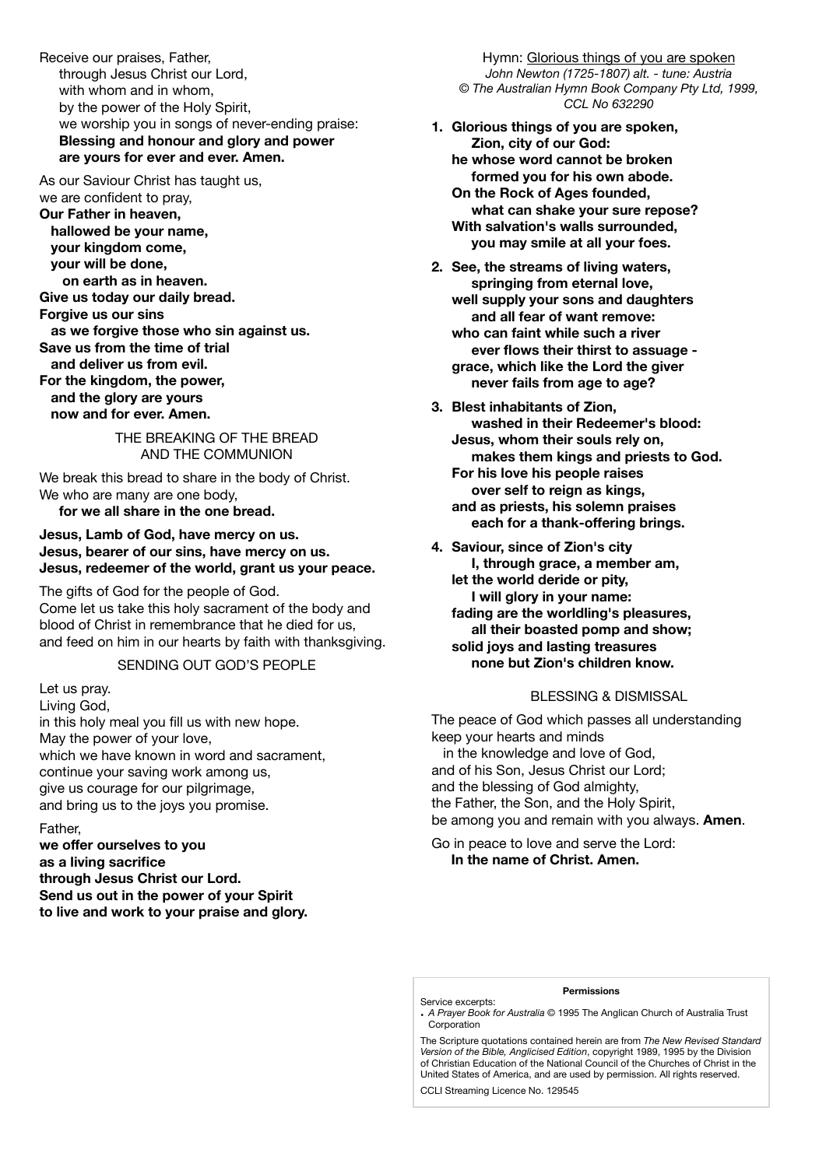Receive our praises, Father, through Jesus Christ our Lord, with whom and in whom, by the power of the Holy Spirit, we worship you in songs of never-ending praise: **Blessing and honour and glory and power are yours for ever and ever. Amen.** 

As our Saviour Christ has taught us, we are confident to pray,

**Our Father in heaven, hallowed be your name, your kingdom come, your will be done, on earth as in heaven. Give us today our daily bread. Forgive us our sins as we forgive those who sin against us. Save us from the time of trial and deliver us from evil. For the kingdom, the power, and the glory are yours now and for ever. Amen.** 

> THE BREAKING OF THE BREAD AND THE COMMUNION

We break this bread to share in the body of Christ. We who are many are one body, **for we all share in the one bread.** 

## **Jesus, Lamb of God, have mercy on us. Jesus, bearer of our sins, have mercy on us. Jesus, redeemer of the world, grant us your peace.**

The gifts of God for the people of God. Come let us take this holy sacrament of the body and blood of Christ in remembrance that he died for us, and feed on him in our hearts by faith with thanksgiving.

### SENDING OUT GOD'S PEOPLE

Let us pray. Living God, in this holy meal you fill us with new hope. May the power of your love, which we have known in word and sacrament, continue your saving work among us, give us courage for our pilgrimage, and bring us to the joys you promise.

### Father,

**we offer ourselves to you as a living sacrifice through Jesus Christ our Lord. Send us out in the power of your Spirit to live and work to your praise and glory.** 

Hymn: Glorious things of you are spoken *John Newton (1725-1807) alt. - tune: Austria © The Australian Hymn Book Company Pty Ltd, 1999, CCL No 632290* 

- **1. Glorious things of you are spoken, Zion, city of our God: he whose word cannot be broken formed you for his own abode. On the Rock of Ages founded,**
	- **what can shake your sure repose? With salvation's walls surrounded, you may smile at all your foes.**
- **2. See, the streams of living waters, springing from eternal love, well supply your sons and daughters and all fear of want remove: who can faint while such a river ever flows their thirst to assuage grace, which like the Lord the giver never fails from age to age?**
- **3. Blest inhabitants of Zion, washed in their Redeemer's blood: Jesus, whom their souls rely on, makes them kings and priests to God. For his love his people raises over self to reign as kings, and as priests, his solemn praises each for a thank-offering brings.**
- **4. Saviour, since of Zion's city I, through grace, a member am, let the world deride or pity, I will glory in your name: fading are the worldling's pleasures, all their boasted pomp and show; solid joys and lasting treasures none but Zion's children know.**

#### BLESSING & DISMISSAL

The peace of God which passes all understanding keep your hearts and minds in the knowledge and love of God, and of his Son, Jesus Christ our Lord; and the blessing of God almighty, the Father, the Son, and the Holy Spirit, be among you and remain with you always. **Amen**.

Go in peace to love and serve the Lord: **In the name of Christ. Amen.**

#### **Permissions**

Service excerpts: **•** *A Prayer Book for Australia* © 1995 The Anglican Church of Australia Trust **Corporation** 

The Scripture quotations contained herein are from *The New Revised Standard Version of the Bible, Anglicised Edition*, copyright 1989, 1995 by the Division of Christian Education of the National Council of the Churches of Christ in the United States of America, and are used by permission. All rights reserved.

CCLI Streaming Licence No. 129545